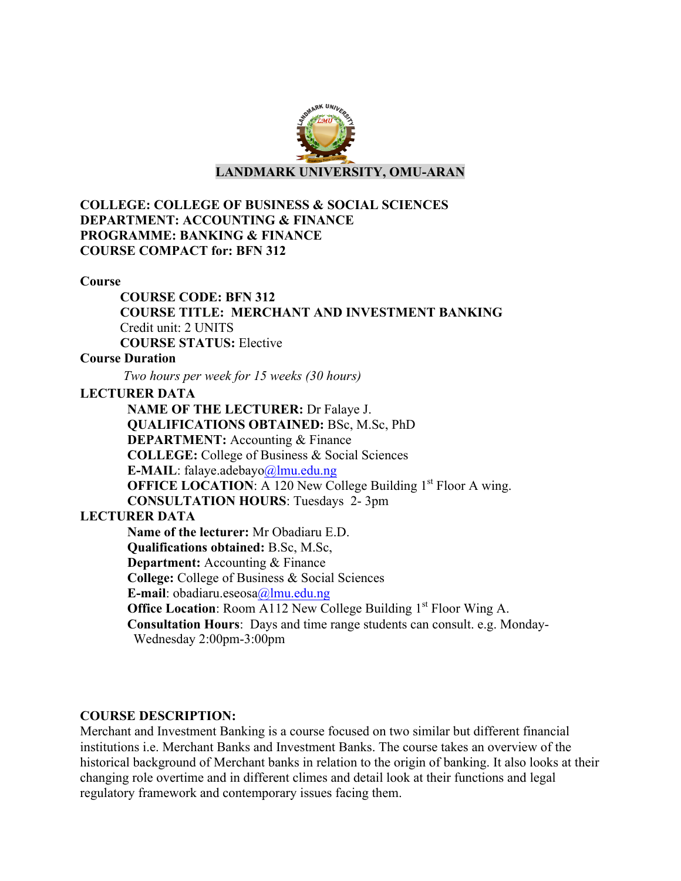

## **COLLEGE: COLLEGE OF BUSINESS & SOCIAL SCIENCES DEPARTMENT: ACCOUNTING & FINANCE PROGRAMME: BANKING & FINANCE COURSE COMPACT for: BFN 312**

#### **Course**

**COURSE CODE: BFN 312 COURSE TITLE: MERCHANT AND INVESTMENT BANKING** Credit unit: 2 UNITS **COURSE STATUS:** Elective

### **Course Duration**

*Two hours per week for 15 weeks (30 hours)*

## **LECTURER DATA**

**NAME OF THE LECTURER:** Dr Falaye J. **QUALIFICATIONS OBTAINED:** BSc, M.Sc, PhD **DEPARTMENT:** Accounting & Finance **COLLEGE:** College of Business & Social Sciences **E-MAIL**: falaye.adebayo@lmu.edu.ng **OFFICE LOCATION:** A 120 New College Building 1<sup>st</sup> Floor A wing. **CONSULTATION HOURS**: Tuesdays 2- 3pm

# **LECTURER DATA**

**Name of the lecturer:** Mr Obadiaru E.D. **Qualifications obtained:** B.Sc, M.Sc, **Department:** Accounting & Finance **College:** College of Business & Social Sciences **E-mail**: obadiaru.eseosa@lmu.edu.ng **Office Location:** Room A112 New College Building 1<sup>st</sup> Floor Wing A. **Consultation Hours**: Days and time range students can consult. e.g. Monday- Wednesday 2:00pm-3:00pm

# **COURSE DESCRIPTION:**

Merchant and Investment Banking is a course focused on two similar but different financial institutions i.e. Merchant Banks and Investment Banks. The course takes an overview of the historical background of Merchant banks in relation to the origin of banking. It also looks at their changing role overtime and in different climes and detail look at their functions and legal regulatory framework and contemporary issues facing them.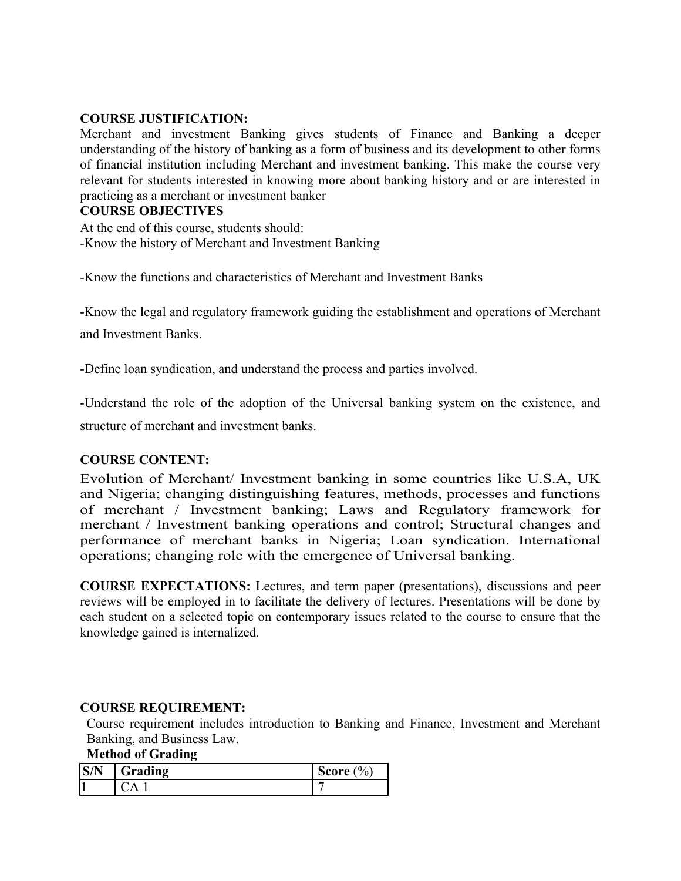## **COURSE JUSTIFICATION:**

Merchant and investment Banking gives students of Finance and Banking a deeper understanding of the history of banking as a form of business and its development to other forms of financial institution including Merchant and investment banking. This make the course very relevant for students interested in knowing more about banking history and or are interested in practicing as a merchant or investment banker

#### **COURSE OBJECTIVES**

At the end of this course, students should: -Know the history of Merchant and Investment Banking

-Know the functions and characteristics of Merchant and Investment Banks

-Know the legal and regulatory framework guiding the establishment and operations of Merchant and Investment Banks.

-Define loan syndication, and understand the process and parties involved.

-Understand the role of the adoption of the Universal banking system on the existence, and

structure of merchant and investment banks.

### **COURSE CONTENT:**

Evolution of Merchant/ Investment banking in some countries like U.S.A, UK and Nigeria; changing distinguishing features, methods, processes and functions of merchant / Investment banking; Laws and Regulatory framework for merchant / Investment banking operations and control; Structural changes and performance of merchant banks in Nigeria; Loan syndication. International operations; changing role with the emergence of Universal banking.

**COURSE EXPECTATIONS:** Lectures, and term paper (presentations), discussions and peer reviews will be employed in to facilitate the delivery of lectures. Presentations will be done by each student on a selected topic on contemporary issues related to the course to ensure that the knowledge gained is internalized.

### **COURSE REQUIREMENT:**

Course requirement includes introduction to Banking and Finance, Investment and Merchant Banking, and Business Law.

# **Method of Grading**

|     | $\sim$<br>Grading | $\frac{1}{2}$<br>score |
|-----|-------------------|------------------------|
| . . |                   |                        |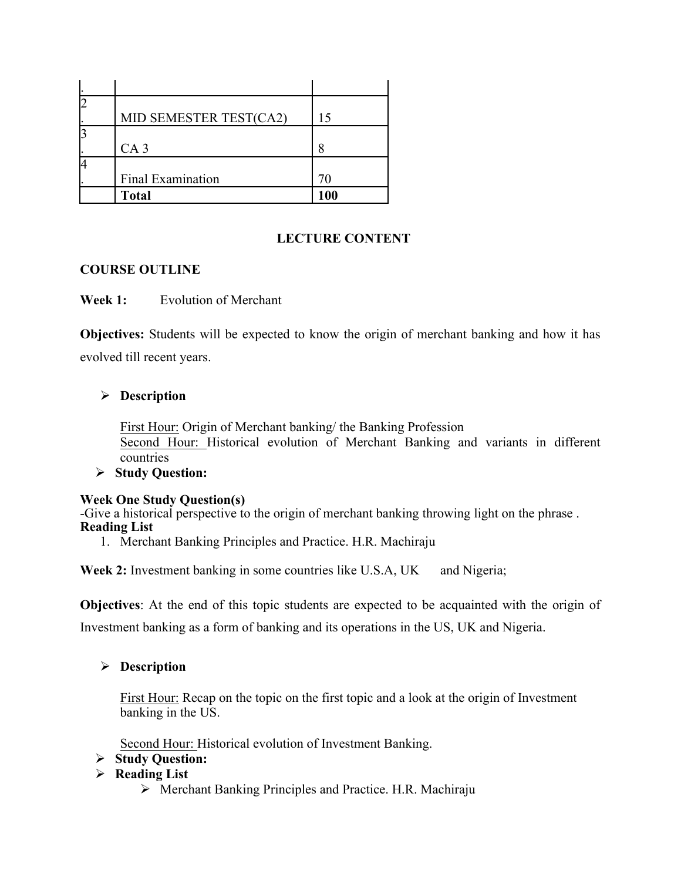| $\overline{2}$ |                        |     |
|----------------|------------------------|-----|
|                | MID SEMESTER TEST(CA2) | 15  |
| 3              |                        |     |
|                | CA <sub>3</sub>        |     |
| 4              |                        |     |
|                | Final Examination      |     |
|                | <b>Total</b>           | 100 |

# **LECTURE CONTENT**

## **COURSE OUTLINE**

**Week 1:** Evolution of Merchant

**Objectives:** Students will be expected to know the origin of merchant banking and how it has evolved till recent years.

# Ø **Description**

First Hour: Origin of Merchant banking/ the Banking Profession Second Hour: Historical evolution of Merchant Banking and variants in different countries

### Ø **Study Question:**

### **Week One Study Question(s)**

-Give a historical perspective to the origin of merchant banking throwing light on the phrase . **Reading List**

1. Merchant Banking Principles and Practice. H.R. Machiraju

**Week 2:** Investment banking in some countries like U.S.A, UK and Nigeria;

**Objectives**: At the end of this topic students are expected to be acquainted with the origin of Investment banking as a form of banking and its operations in the US, UK and Nigeria.

# Ø **Description**

First Hour: Recap on the topic on the first topic and a look at the origin of Investment banking in the US.

Second Hour: Historical evolution of Investment Banking.

# Ø **Study Question:**

- Ø **Reading List**
	- $\triangleright$  Merchant Banking Principles and Practice. H.R. Machiraju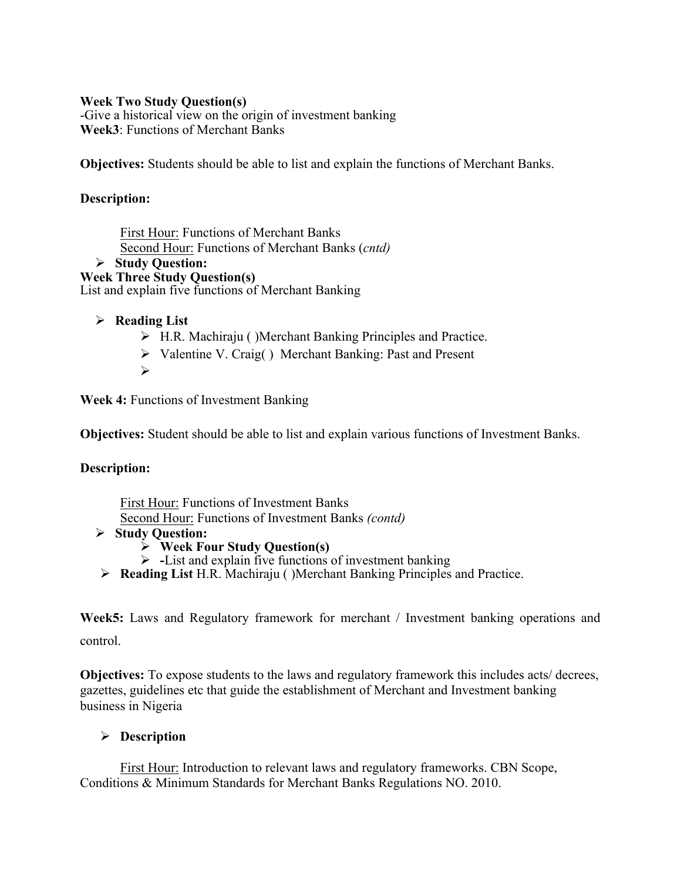### **Week Two Study Question(s)**

-Give a historical view on the origin of investment banking **Week3**: Functions of Merchant Banks

**Objectives:** Students should be able to list and explain the functions of Merchant Banks.

## **Description:**

First Hour: Functions of Merchant Banks Second Hour: Functions of Merchant Banks (*cntd)*

Ø **Study Question:** 

**Week Three Study Question(s)**  List and explain five functions of Merchant Banking

## Ø **Reading List**

- $\triangleright$  H.R. Machiraju ()Merchant Banking Principles and Practice.
- Ø Valentine V. Craig( ) Merchant Banking: Past and Present
- Ø

**Week 4:** Functions of Investment Banking

**Objectives:** Student should be able to list and explain various functions of Investment Banks.

### **Description:**

First Hour: Functions of Investment Banks Second Hour: Functions of Investment Banks *(contd)*

- Ø **Study Question:** 
	- Ø **Week Four Study Question(s)**
	- Ø **-**List and explain five functions of investment banking
- Ø **Reading List** H.R. Machiraju ( )Merchant Banking Principles and Practice.

**Week5:** Laws and Regulatory framework for merchant / Investment banking operations and control.

**Objectives:** To expose students to the laws and regulatory framework this includes acts/ decrees, gazettes, guidelines etc that guide the establishment of Merchant and Investment banking business in Nigeria

# Ø **Description**

First Hour: Introduction to relevant laws and regulatory frameworks. CBN Scope, Conditions & Minimum Standards for Merchant Banks Regulations NO. 2010.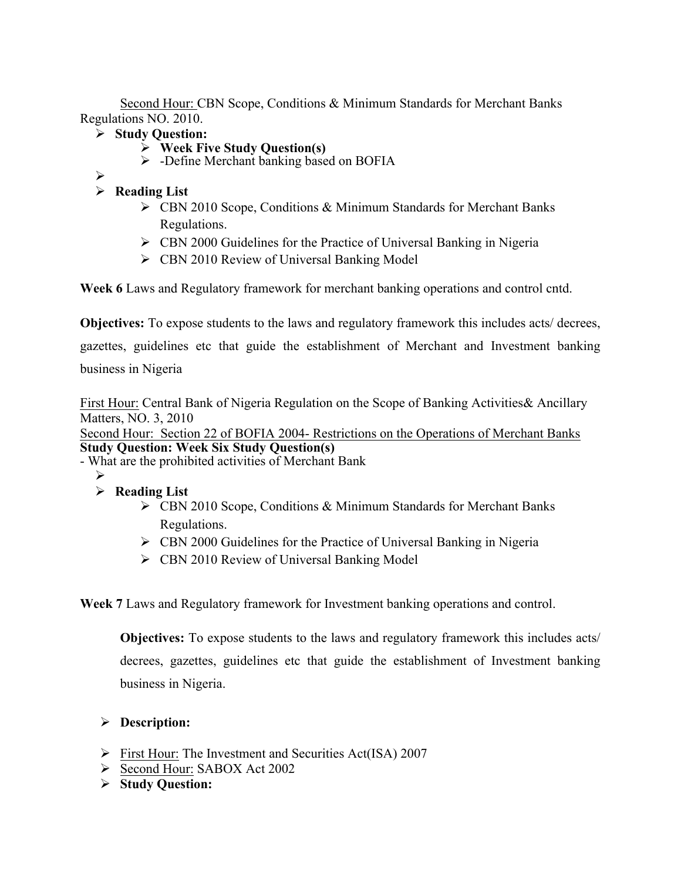Second Hour: CBN Scope, Conditions & Minimum Standards for Merchant Banks Regulations NO. 2010.

- Ø **Study Question:** 
	- Ø **Week Five Study Question(s)**
	- $\triangleright$  -Define Merchant banking based on BOFIA
- Ø

# Ø **Reading List**

- Ø CBN 2010 Scope, Conditions & Minimum Standards for Merchant Banks Regulations.
- $\triangleright$  CBN 2000 Guidelines for the Practice of Universal Banking in Nigeria
- $\triangleright$  CBN 2010 Review of Universal Banking Model

**Week 6** Laws and Regulatory framework for merchant banking operations and control cntd.

**Objectives:** To expose students to the laws and regulatory framework this includes acts/ decrees,

gazettes, guidelines etc that guide the establishment of Merchant and Investment banking business in Nigeria

First Hour: Central Bank of Nigeria Regulation on the Scope of Banking Activities& Ancillary Matters, NO. 3, 2010

Second Hour: Section 22 of BOFIA 2004- Restrictions on the Operations of Merchant Banks **Study Question: Week Six Study Question(s)** 

- What are the prohibited activities of Merchant Bank
	- Ø
	- Ø **Reading List**
		- Ø CBN 2010 Scope, Conditions & Minimum Standards for Merchant Banks Regulations.
		- $\triangleright$  CBN 2000 Guidelines for the Practice of Universal Banking in Nigeria
		- $\triangleright$  CBN 2010 Review of Universal Banking Model

**Week 7** Laws and Regulatory framework for Investment banking operations and control.

**Objectives:** To expose students to the laws and regulatory framework this includes acts/ decrees, gazettes, guidelines etc that guide the establishment of Investment banking business in Nigeria.

# Ø **Description:**

- Ø First Hour: The Investment and Securities Act(ISA) 2007
- Ø Second Hour: SABOX Act 2002
- Ø **Study Question:**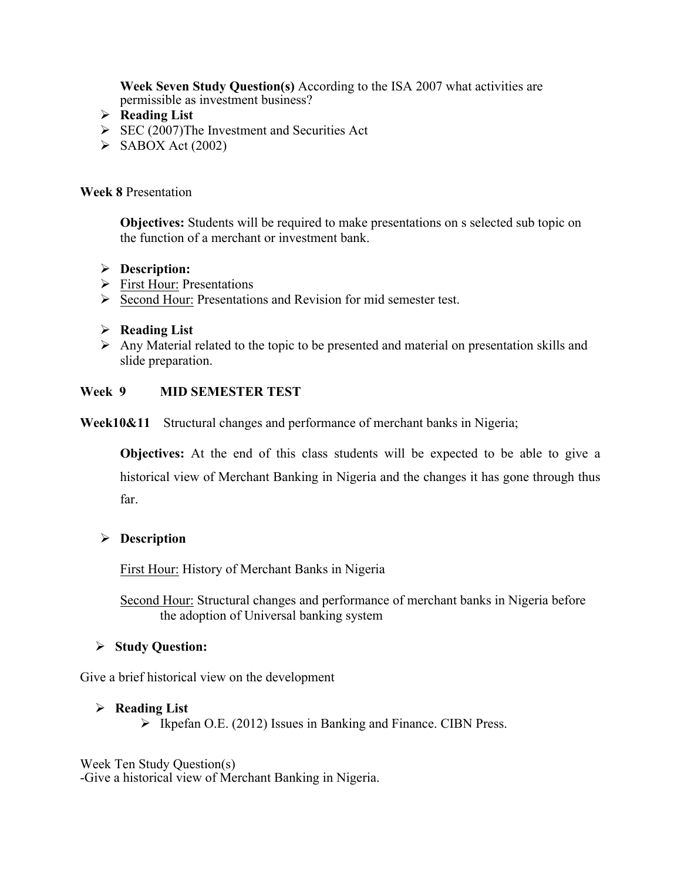**Week Seven Study Question(s)** According to the ISA 2007 what activities are permissible as investment business?

- Ø **Reading List**
- $\triangleright$  SEC (2007)The Investment and Securities Act
- $\triangleright$  SABOX Act (2002)

#### **Week 8** Presentation

**Objectives:** Students will be required to make presentations on s selected sub topic on the function of a merchant or investment bank.

### Ø **Description:**

- Ø First Hour: Presentations
- Ø Second Hour: Presentations and Revision for mid semester test.

### Ø **Reading List**

 $\triangleright$  Any Material related to the topic to be presented and material on presentation skills and slide preparation.

#### **Week 9 MID SEMESTER TEST**

**Week10&11** Structural changes and performance of merchant banks in Nigeria;

**Objectives:** At the end of this class students will be expected to be able to give a historical view of Merchant Banking in Nigeria and the changes it has gone through thus far.

### Ø **Description**

First Hour: History of Merchant Banks in Nigeria

Second Hour: Structural changes and performance of merchant banks in Nigeria before the adoption of Universal banking system

### Ø **Study Question:**

Give a brief historical view on the development

#### Ø **Reading List**

 $\triangleright$  Ikpefan O.E. (2012) Issues in Banking and Finance. CIBN Press.

Week Ten Study Question(s) -Give a historical view of Merchant Banking in Nigeria.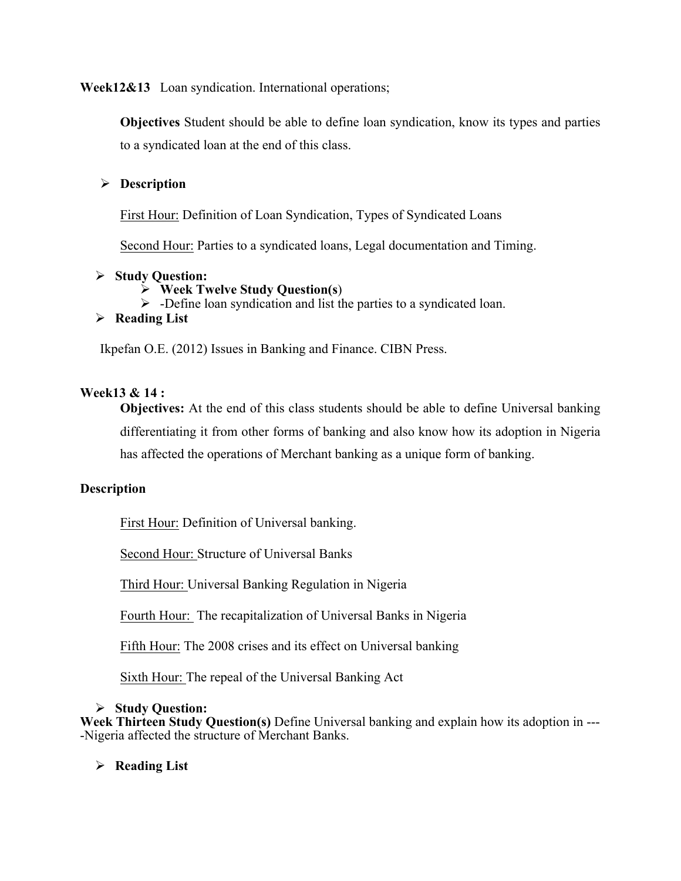**Week12&13** Loan syndication. International operations;

**Objectives** Student should be able to define loan syndication, know its types and parties to a syndicated loan at the end of this class.

# Ø **Description**

First Hour: Definition of Loan Syndication, Types of Syndicated Loans

Second Hour: Parties to a syndicated loans, Legal documentation and Timing.

## Ø **Study Question:**

- Ø **Week Twelve Study Question(s**)
- $\triangleright$  -Define loan syndication and list the parties to a syndicated loan.

## Ø **Reading List**

Ikpefan O.E. (2012) Issues in Banking and Finance. CIBN Press.

## **Week13 & 14 :**

**Objectives:** At the end of this class students should be able to define Universal banking differentiating it from other forms of banking and also know how its adoption in Nigeria has affected the operations of Merchant banking as a unique form of banking.

# **Description**

First Hour: Definition of Universal banking.

Second Hour: Structure of Universal Banks

Third Hour: Universal Banking Regulation in Nigeria

Fourth Hour: The recapitalization of Universal Banks in Nigeria

Fifth Hour: The 2008 crises and its effect on Universal banking

Sixth Hour: The repeal of the Universal Banking Act

### Ø **Study Question:**

**Week Thirteen Study Question(s)** Define Universal banking and explain how its adoption in --- -Nigeria affected the structure of Merchant Banks.

Ø **Reading List**